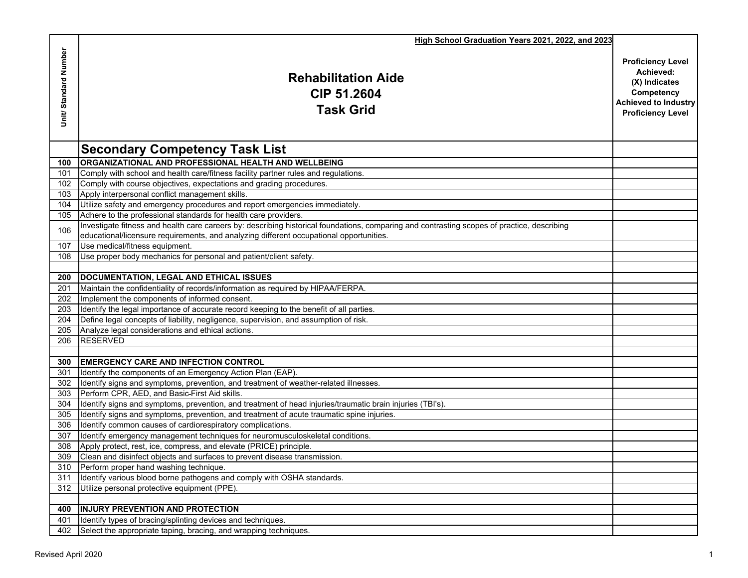|                      | High School Graduation Years 2021, 2022, and 2023                                                                                           |                                                                                                                                 |
|----------------------|---------------------------------------------------------------------------------------------------------------------------------------------|---------------------------------------------------------------------------------------------------------------------------------|
| Unit/Standard Number | <b>Rehabilitation Aide</b><br>CIP 51.2604<br><b>Task Grid</b>                                                                               | <b>Proficiency Level</b><br>Achieved:<br>(X) Indicates<br>Competency<br><b>Achieved to Industry</b><br><b>Proficiency Level</b> |
|                      | <b>Secondary Competency Task List</b>                                                                                                       |                                                                                                                                 |
| 100                  | <b>ORGANIZATIONAL AND PROFESSIONAL HEALTH AND WELLBEING</b>                                                                                 |                                                                                                                                 |
| 101                  | Comply with school and health care/fitness facility partner rules and regulations.                                                          |                                                                                                                                 |
| 102                  | Comply with course objectives, expectations and grading procedures.                                                                         |                                                                                                                                 |
| 103                  | Apply interpersonal conflict management skills.                                                                                             |                                                                                                                                 |
| 104                  | Utilize safety and emergency procedures and report emergencies immediately.                                                                 |                                                                                                                                 |
| 105                  | Adhere to the professional standards for health care providers.                                                                             |                                                                                                                                 |
|                      | Investigate fitness and health care careers by: describing historical foundations, comparing and contrasting scopes of practice, describing |                                                                                                                                 |
| 106                  | educational/licensure requirements, and analyzing different occupational opportunities.                                                     |                                                                                                                                 |
| 107                  | Use medical/fitness equipment.                                                                                                              |                                                                                                                                 |
| 108                  | Use proper body mechanics for personal and patient/client safety.                                                                           |                                                                                                                                 |
|                      |                                                                                                                                             |                                                                                                                                 |
| 200                  | DOCUMENTATION, LEGAL AND ETHICAL ISSUES                                                                                                     |                                                                                                                                 |
| 201                  | Maintain the confidentiality of records/information as required by HIPAA/FERPA.                                                             |                                                                                                                                 |
| 202                  | Implement the components of informed consent.                                                                                               |                                                                                                                                 |
| 203                  | Identify the legal importance of accurate record keeping to the benefit of all parties.                                                     |                                                                                                                                 |
| 204                  | Define legal concepts of liability, negligence, supervision, and assumption of risk.                                                        |                                                                                                                                 |
| 205                  | Analyze legal considerations and ethical actions.                                                                                           |                                                                                                                                 |
| 206                  | <b>RESERVED</b>                                                                                                                             |                                                                                                                                 |
|                      |                                                                                                                                             |                                                                                                                                 |
| 300                  | <b>EMERGENCY CARE AND INFECTION CONTROL</b>                                                                                                 |                                                                                                                                 |
| 301                  | Identify the components of an Emergency Action Plan (EAP).                                                                                  |                                                                                                                                 |
| 302                  | Identify signs and symptoms, prevention, and treatment of weather-related illnesses.                                                        |                                                                                                                                 |
| 303                  | Perform CPR. AED. and Basic-First Aid skills.                                                                                               |                                                                                                                                 |
| 304                  | Identify signs and symptoms, prevention, and treatment of head injuries/traumatic brain injuries (TBI's).                                   |                                                                                                                                 |
| 305                  | Identify signs and symptoms, prevention, and treatment of acute traumatic spine injuries.                                                   |                                                                                                                                 |
| 306                  | Identify common causes of cardiorespiratory complications.                                                                                  |                                                                                                                                 |
| 307                  | Identify emergency management techniques for neuromusculoskeletal conditions.                                                               |                                                                                                                                 |
| 308                  | Apply protect, rest, ice, compress, and elevate (PRICE) principle.                                                                          |                                                                                                                                 |
|                      | 309 Clean and disinfect objects and surfaces to prevent disease transmission.                                                               |                                                                                                                                 |
| 310                  | Perform proper hand washing technique.                                                                                                      |                                                                                                                                 |
| 311                  | Identify various blood borne pathogens and comply with OSHA standards.                                                                      |                                                                                                                                 |
| 312                  | Utilize personal protective equipment (PPE).                                                                                                |                                                                                                                                 |
|                      |                                                                                                                                             |                                                                                                                                 |
| 400                  | <b>INJURY PREVENTION AND PROTECTION</b>                                                                                                     |                                                                                                                                 |
| 401                  | Identify types of bracing/splinting devices and techniques.                                                                                 |                                                                                                                                 |
| 402                  | Select the appropriate taping, bracing, and wrapping techniques.                                                                            |                                                                                                                                 |
|                      |                                                                                                                                             |                                                                                                                                 |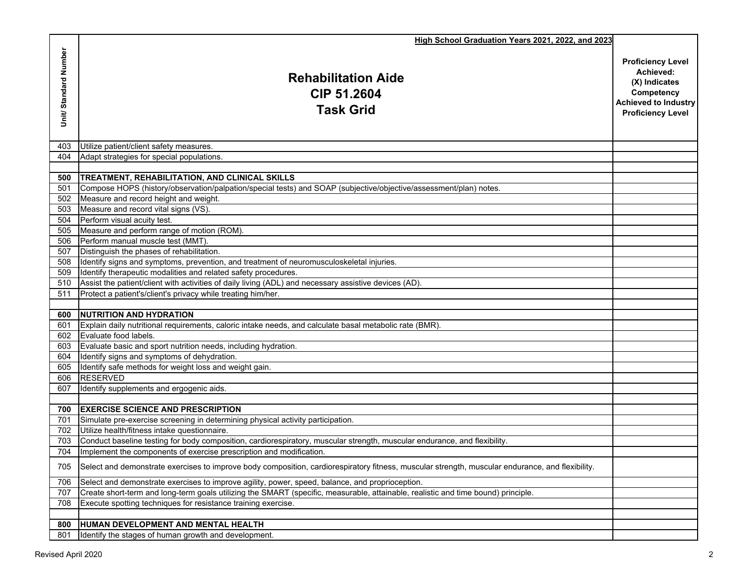|                      | High School Graduation Years 2021, 2022, and 2023                                                                                                |                                                                                                                                 |
|----------------------|--------------------------------------------------------------------------------------------------------------------------------------------------|---------------------------------------------------------------------------------------------------------------------------------|
| Unit/Standard Number | <b>Rehabilitation Aide</b><br><b>CIP 51.2604</b><br><b>Task Grid</b>                                                                             | <b>Proficiency Level</b><br>Achieved:<br>(X) Indicates<br>Competency<br><b>Achieved to Industry</b><br><b>Proficiency Level</b> |
| 403                  | Utilize patient/client safety measures.                                                                                                          |                                                                                                                                 |
| 404                  | Adapt strategies for special populations.                                                                                                        |                                                                                                                                 |
|                      |                                                                                                                                                  |                                                                                                                                 |
| 500                  | TREATMENT, REHABILITATION, AND CLINICAL SKILLS                                                                                                   |                                                                                                                                 |
| 501                  | Compose HOPS (history/observation/palpation/special tests) and SOAP (subjective/objective/assessment/plan) notes.                                |                                                                                                                                 |
| 502                  | Measure and record height and weight.                                                                                                            |                                                                                                                                 |
| 503                  | Measure and record vital signs (VS).                                                                                                             |                                                                                                                                 |
| 504                  | Perform visual acuity test.                                                                                                                      |                                                                                                                                 |
| 505<br>506           | Measure and perform range of motion (ROM).<br>Perform manual muscle test (MMT).                                                                  |                                                                                                                                 |
| 507                  | Distinguish the phases of rehabilitation.                                                                                                        |                                                                                                                                 |
| 508                  | Identify signs and symptoms, prevention, and treatment of neuromusculoskeletal injuries.                                                         |                                                                                                                                 |
| 509                  | Identify therapeutic modalities and related safety procedures.                                                                                   |                                                                                                                                 |
| 510                  | Assist the patient/client with activities of daily living (ADL) and necessary assistive devices (AD).                                            |                                                                                                                                 |
| 511                  | Protect a patient's/client's privacy while treating him/her.                                                                                     |                                                                                                                                 |
|                      |                                                                                                                                                  |                                                                                                                                 |
| 600                  | <b>INUTRITION AND HYDRATION</b>                                                                                                                  |                                                                                                                                 |
| 601                  | Explain daily nutritional requirements, caloric intake needs, and calculate basal metabolic rate (BMR).                                          |                                                                                                                                 |
| 602                  | Evaluate food labels.                                                                                                                            |                                                                                                                                 |
| 603                  | Evaluate basic and sport nutrition needs, including hydration.                                                                                   |                                                                                                                                 |
|                      | 604 Identify signs and symptoms of dehydration.                                                                                                  |                                                                                                                                 |
| 605                  | Identify safe methods for weight loss and weight gain.                                                                                           |                                                                                                                                 |
| 606                  | <b>RESERVED</b>                                                                                                                                  |                                                                                                                                 |
| 607                  | Identify supplements and ergogenic aids.                                                                                                         |                                                                                                                                 |
| 700                  | <b>IEXERCISE SCIENCE AND PRESCRIPTION</b>                                                                                                        |                                                                                                                                 |
| 701                  | Simulate pre-exercise screening in determining physical activity participation.                                                                  |                                                                                                                                 |
| 702                  | Utilize health/fitness intake questionnaire.                                                                                                     |                                                                                                                                 |
| 703                  | Conduct baseline testing for body composition, cardiorespiratory, muscular strength, muscular endurance, and flexibility.                        |                                                                                                                                 |
| 704                  | Implement the components of exercise prescription and modification.                                                                              |                                                                                                                                 |
| 705                  | Select and demonstrate exercises to improve body composition, cardiorespiratory fitness, muscular strength, muscular endurance, and flexibility. |                                                                                                                                 |
| 706                  | Select and demonstrate exercises to improve agility, power, speed, balance, and proprioception.                                                  |                                                                                                                                 |
| 707                  | Create short-term and long-term goals utilizing the SMART (specific, measurable, attainable, realistic and time bound) principle.                |                                                                                                                                 |
| 708                  | Execute spotting techniques for resistance training exercise.                                                                                    |                                                                                                                                 |
|                      |                                                                                                                                                  |                                                                                                                                 |
| 800                  | HUMAN DEVELOPMENT AND MENTAL HEALTH                                                                                                              |                                                                                                                                 |
| 801                  | Identify the stages of human growth and development.                                                                                             |                                                                                                                                 |